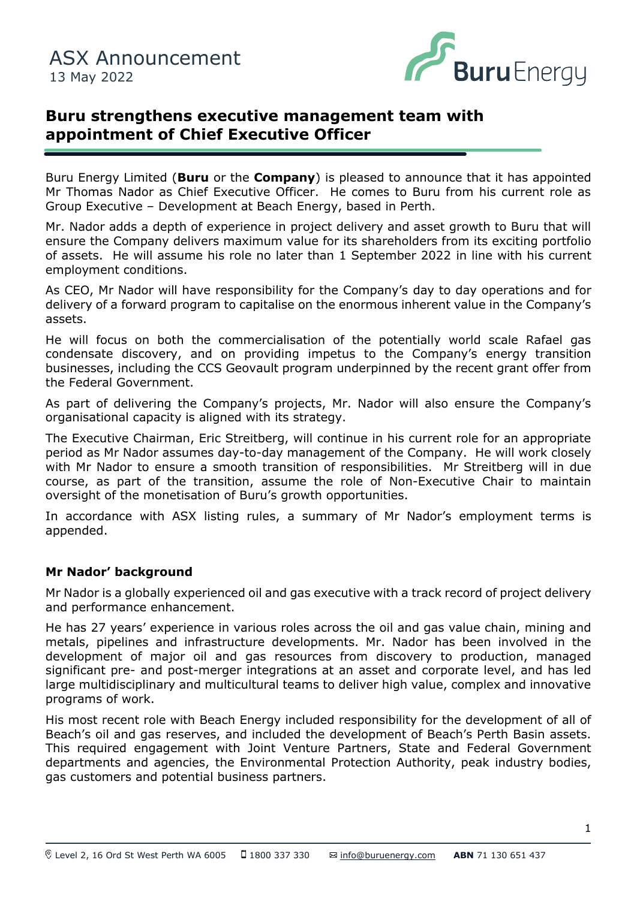

# **Buru strengthens executive management team with appointment of Chief Executive Officer**

Buru Energy Limited (**Buru** or the **Company**) is pleased to announce that it has appointed Mr Thomas Nador as Chief Executive Officer. He comes to Buru from his current role as Group Executive – Development at Beach Energy, based in Perth.

ensure the Company delivers maximum value for its shareholders from its exciting portfolio Mr. Nador adds a depth of experience in project delivery and asset growth to Buru that will of assets. He will assume his role no later than 1 September 2022 in line with his current employment conditions.

As CEO, Mr Nador will have responsibility for the Company's day to day operations and for delivery of a forward program to capitalise on the enormous inherent value in the Company's assets.

He will focus on both the commercialisation of the potentially world scale Rafael gas condensate discovery, and on providing impetus to the Company's energy transition businesses, including the CCS Geovault program underpinned by the recent grant offer from the Federal Government.

As part of delivering the Company's projects, Mr. Nador will also ensure the Company's organisational capacity is aligned with its strategy.

The Executive Chairman, Eric Streitberg, will continue in his current role for an appropriate period as Mr Nador assumes day-to-day management of the Company. He will work closely with Mr Nador to ensure a smooth transition of responsibilities. Mr Streitberg will in due course, as part of the transition, assume the role of Non-Executive Chair to maintain oversight of the monetisation of Buru's growth opportunities.

In accordance with ASX listing rules, a summary of Mr Nador's employment terms is appended.

#### **Mr Nador' background**

Mr Nador is a globally experienced oil and gas executive with a track record of project delivery and performance enhancement.

He has 27 years' experience in various roles across the oil and gas value chain, mining and metals, pipelines and infrastructure developments. Mr. Nador has been involved in the development of major oil and gas resources from discovery to production, managed significant pre- and post-merger integrations at an asset and corporate level, and has led large multidisciplinary and multicultural teams to deliver high value, complex and innovative programs of work.

His most recent role with Beach Energy included responsibility for the development of all of Beach's oil and gas reserves, and included the development of Beach's Perth Basin assets. This required engagement with Joint Venture Partners, State and Federal Government departments and agencies, the Environmental Protection Authority, peak industry bodies, gas customers and potential business partners.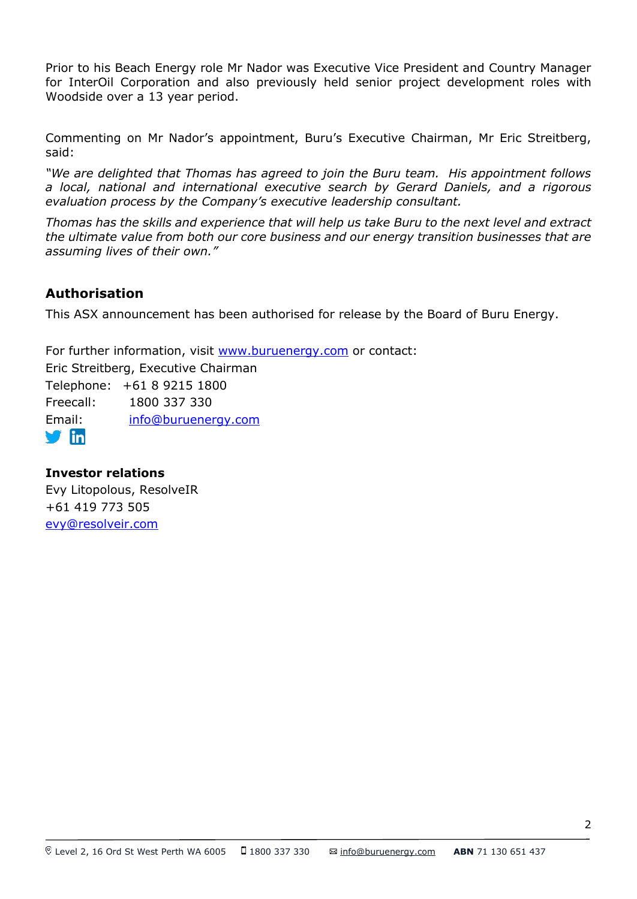Prior to his Beach Energy role Mr Nador was Executive Vice President and Country Manager for InterOil Corporation and also previously held senior project development roles with Woodside over a 13 year period.

Commenting on Mr Nador's appointment, Buru's Executive Chairman, Mr Eric Streitberg, said:

*"We are delighted that Thomas has agreed to join the Buru team. His appointment follows a local, national and international executive search by Gerard Daniels, and a rigorous evaluation process by the Company's executive leadership consultant.*

*Thomas has the skills and experience that will help us take Buru to the next level and extract the ultimate value from both our core business and our energy transition businesses that are assuming lives of their own."*

## **Authorisation**

This ASX announcement has been authorised for release by the Board of Buru Energy.

For further information, visit [www.buruenergy.com](http://www.buruenergy.com/) or contact: Eric Streitberg, Executive Chairman Telephone: +61 8 9215 1800 Freecall: 1800 337 330 Email: [info@buruenergy.com](mailto:info@buruenergy.com)  $\blacksquare$ in

### **Investor relations**

Evy Litopolous, ResolveIR +61 419 773 505 [evy@resolveir.com](mailto:evy@resolveir.com)